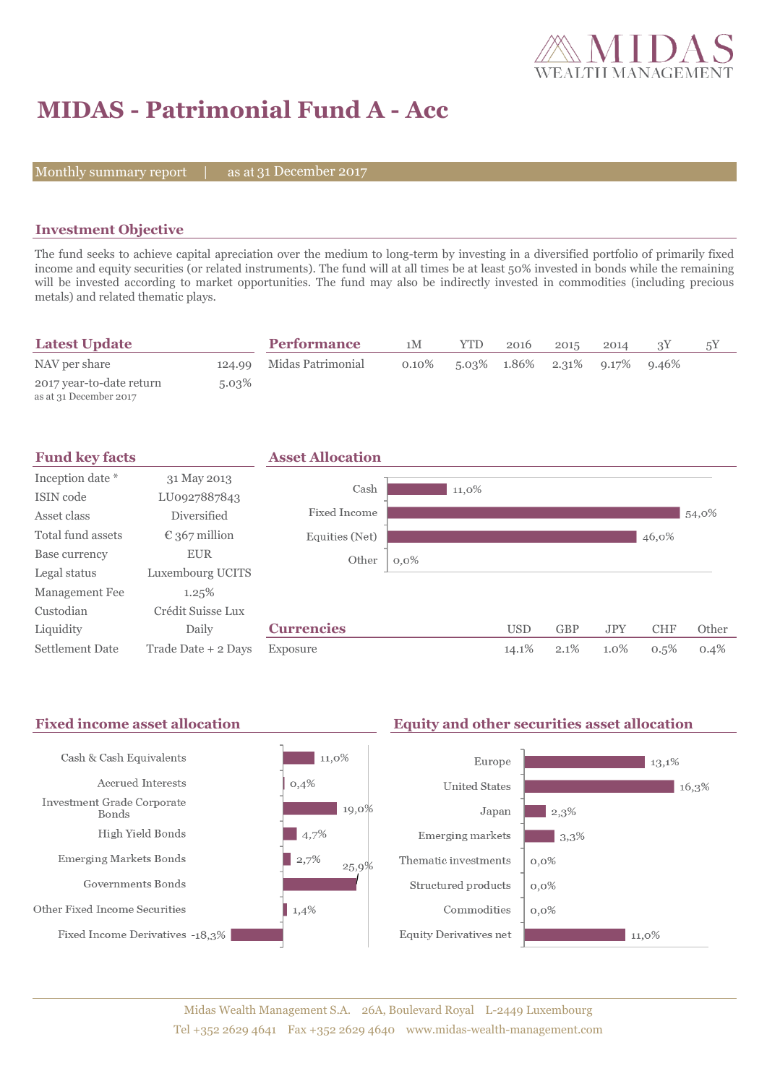

# **MIDAS - Patrimonial Fund A - Acc**

Monthly summary report  $|$ 

as at 31 December 2017

## **Investment Objective**

The fund seeks to achieve capital apreciation over the medium to long-term by investing in a diversified portfolio of primarily fixed income and equity securities (or related instruments). The fund will at all times be at least 50% invested in bonds while the remaining will be invested according to market opportunities. The fund may also be indirectly invested in commodities (including precious metals) and related thematic plays.

| <b>Latest Update</b>                               |          | <b>Performance</b>       | 1M       | <b>YTD</b> | 2016 | 2015 | 2014                                         | 5Y |
|----------------------------------------------------|----------|--------------------------|----------|------------|------|------|----------------------------------------------|----|
| NAV per share                                      |          | 124.99 Midas Patrimonial | $0.10\%$ |            |      |      | $5.03\%$ $1.86\%$ $2.31\%$ $9.17\%$ $9.46\%$ |    |
| 2017 year-to-date return<br>as at 31 December 2017 | $5.03\%$ |                          |          |            |      |      |                                              |    |



#### Fixed income asset allocation **Equity and other securities asset allocation** Cash & Cash Equivalents  $11,0\%$ Europe  $13,1%$ Accrued Interests  $0,4%$ **United States**  $16,3%$ Investment Grade Corporate 19,0% Japan  $\vert$  2,3% **Bonds** High Yield Bonds  $|4,7\%$ Emerging markets  $3,3%$ Emerging Markets Bonds  $2,7%$ Thematic investments  $0.0\%$ 25,9% Governments Bonds Structured products  $0,0\%$ Other Fixed Income Securities  $1,4%$ Commodities  $0.0\%$ Fixed Income Derivatives -18,3% **Equity Derivatives net**  $11,0\%$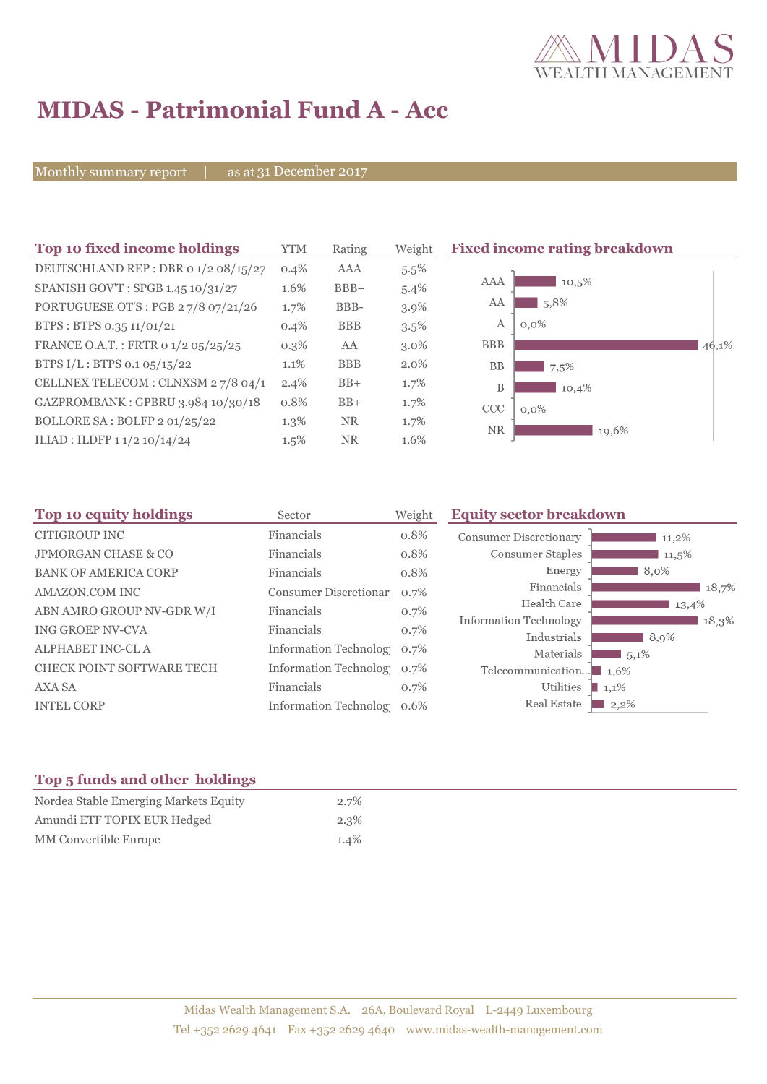

# **MIDAS - Patrimonial Fund A - Acc**

Monthly summary report | as at 31 December 2017

| Top 10 fixed income holdings         | <b>YTM</b> | Rating     | Weight  | <b>Fixed income rating breakdown</b> |       |
|--------------------------------------|------------|------------|---------|--------------------------------------|-------|
| DEUTSCHLAND REP : DBR 0 1/2 08/15/27 | $0.4\%$    | AAA        | $5.5\%$ |                                      |       |
| SPANISH GOV'T: SPGB 1.45 10/31/27    | 1.6%       | $BBB+$     | $5.4\%$ | AAA<br>$10,5\%$                      |       |
| PORTUGUESE OT'S : PGB 27/8 07/21/26  | 1.7%       | BBB-       | 3.9%    | 5,8%<br>AA                           |       |
| BTPS: BTPS 0.35 11/01/21             | 0.4%       | <b>BBB</b> | $3.5\%$ | $0.0\%$<br>А                         |       |
| FRANCE O.A.T.: FRTR 0 1/2 05/25/25   | $0.3\%$    | AA         | $3.0\%$ | <b>BBB</b>                           | 46,1% |
| BTPS $I/L$ : BTPS 0.1 05/15/22       | 1.1%       | <b>BBB</b> | $2.0\%$ | <b>BB</b><br>7,5%                    |       |
| CELLNEX TELECOM : CLNXSM 27/8 04/1   | $2.4\%$    | $BB+$      | 1.7%    | B<br>10,4%                           |       |
| GAZPROMBANK: GPBRU 3.984 10/30/18    | 0.8%       | $BB+$      | 1.7%    | CCC<br>$0,0\%$                       |       |
| BOLLORE SA : BOLFP 2 01/25/22        | $1.3\%$    | NR.        | $1.7\%$ | <b>NR</b><br>19,6%                   |       |
| ILIAD : ILDFP 1 1/2 10/14/24         | $1.5\%$    | <b>NR</b>  | 1.6%    |                                      |       |

| Sector     | Weight | <b>Equity sector breakdown</b>                                                                                          |
|------------|--------|-------------------------------------------------------------------------------------------------------------------------|
| Financials | 0.8%   | <b>Consumer Discretionary</b><br>$11,2\%$                                                                               |
| Financials | 0.8%   | Consumer Staples<br>11,5%                                                                                               |
| Financials | 0.8%   | Energy<br>8,0%                                                                                                          |
|            | 0.7%   | Financials<br>18,7%                                                                                                     |
| Financials | 0.7%   | Health Care<br>13,4%                                                                                                    |
| Financials | 0.7%   | Information Technology<br>18,3%<br>Industrials                                                                          |
|            | 0.7%   | 8,9%<br>Materials<br>$\frac{1}{2}$ 5,1%                                                                                 |
|            | 0.7%   | Telecommunication<br>$1.6\%$                                                                                            |
| Financials | 0.7%   | Utilities<br>1,1%                                                                                                       |
|            | 0.6%   | Real Estate<br>$2,2\%$                                                                                                  |
|            |        | Consumer Discretionar<br><b>Information Technology</b><br><b>Information Technolog</b><br><b>Information Technology</b> |

# **Top 5 funds and other holdings**

| Nordea Stable Emerging Markets Equity | $2.7\%$ |
|---------------------------------------|---------|
| Amundi ETF TOPIX EUR Hedged           | $2.3\%$ |
| MM Convertible Europe                 | $1.4\%$ |